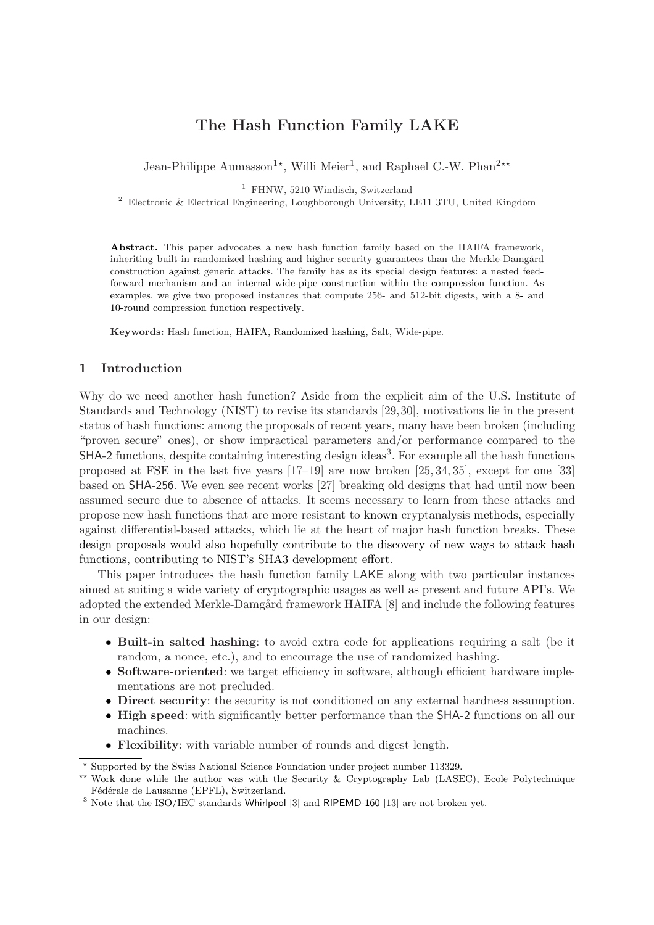# The Hash Function Family LAKE

Jean-Philippe Aumasson<sup>1\*</sup>, Willi Meier<sup>1</sup>, and Raphael C.-W. Phan<sup>2\*\*</sup>

<sup>1</sup> FHNW, 5210 Windisch, Switzerland

<sup>2</sup> Electronic & Electrical Engineering, Loughborough University, LE11 3TU, United Kingdom

Abstract. This paper advocates a new hash function family based on the HAIFA framework, inheriting built-in randomized hashing and higher security guarantees than the Merkle-Damgård construction against generic attacks. The family has as its special design features: a nested feedforward mechanism and an internal wide-pipe construction within the compression function. As examples, we give two proposed instances that compute 256- and 512-bit digests, with a 8- and 10-round compression function respectively.

Keywords: Hash function, HAIFA, Randomized hashing, Salt, Wide-pipe.

# 1 Introduction

Why do we need another hash function? Aside from the explicit aim of the U.S. Institute of Standards and Technology (NIST) to revise its standards [29,30], motivations lie in the present status of hash functions: among the proposals of recent years, many have been broken (including "proven secure" ones), or show impractical parameters and/or performance compared to the SHA-2 functions, despite containing interesting design ideas<sup>3</sup>. For example all the hash functions proposed at FSE in the last five years [17–19] are now broken [25, 34, 35], except for one [33] based on SHA-256. We even see recent works [27] breaking old designs that had until now been assumed secure due to absence of attacks. It seems necessary to learn from these attacks and propose new hash functions that are more resistant to known cryptanalysis methods, especially against differential-based attacks, which lie at the heart of major hash function breaks. These design proposals would also hopefully contribute to the discovery of new ways to attack hash functions, contributing to NIST's SHA3 development effort.

This paper introduces the hash function family LAKE along with two particular instances aimed at suiting a wide variety of cryptographic usages as well as present and future API's. We adopted the extended Merkle-Damgård framework HAIFA [8] and include the following features in our design:

- Built-in salted hashing: to avoid extra code for applications requiring a salt (be it random, a nonce, etc.), and to encourage the use of randomized hashing.
- Software-oriented: we target efficiency in software, although efficient hardware implementations are not precluded.
- Direct security: the security is not conditioned on any external hardness assumption.
- High speed: with significantly better performance than the SHA-2 functions on all our machines.
- Flexibility: with variable number of rounds and digest length.
- <sup>⋆</sup> Supported by the Swiss National Science Foundation under project number 113329.

<sup>\*\*</sup> Work done while the author was with the Security & Cryptography Lab (LASEC), Ecole Polytechnique Fédérale de Lausanne (EPFL), Switzerland.

<sup>&</sup>lt;sup>3</sup> Note that the ISO/IEC standards Whirlpool [3] and RIPEMD-160 [13] are not broken yet.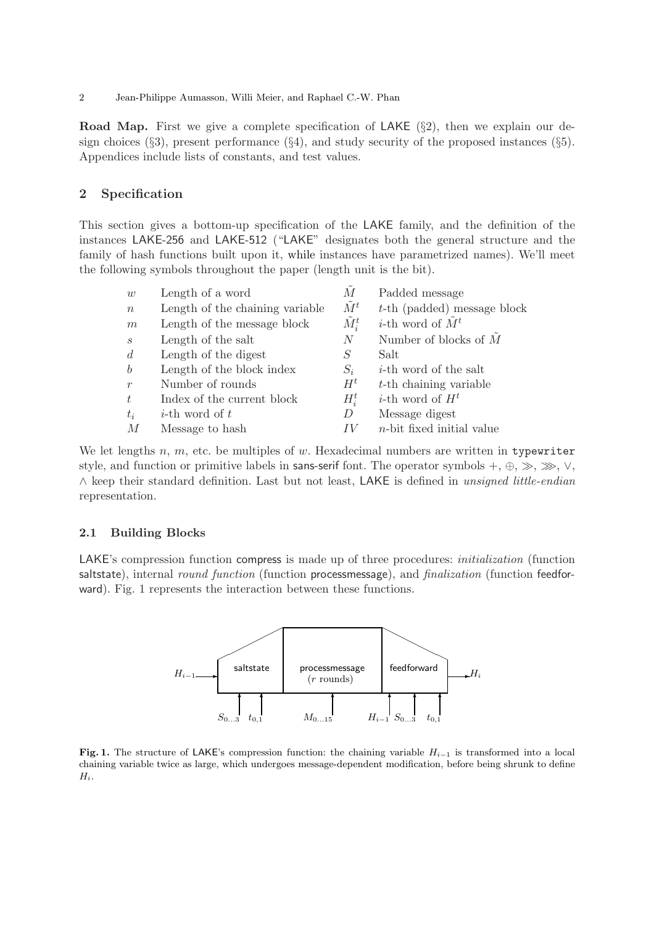Road Map. First we give a complete specification of LAKE (§2), then we explain our design choices (§3), present performance (§4), and study security of the proposed instances (§5). Appendices include lists of constants, and test values.

# 2 Specification

This section gives a bottom-up specification of the LAKE family, and the definition of the instances LAKE-256 and LAKE-512 ("LAKE" designates both the general structure and the family of hash functions built upon it, while instances have parametrized names). We'll meet the following symbols throughout the paper (length unit is the bit).

| $\overline{w}$              | Length of a word                | $\overline{M}$  | Padded message                     |
|-----------------------------|---------------------------------|-----------------|------------------------------------|
| $\boldsymbol{n}$            | Length of the chaining variable | $\tilde{M}^t$   | $t$ -th (padded) message block     |
| m                           | Length of the message block     | $\tilde{M}_i^t$ | <i>i</i> -th word of $\tilde{M}^t$ |
| $\mathcal{S}_{\mathcal{S}}$ | Length of the salt              | N               | Number of blocks of $M$            |
| $\overline{d}$              | Length of the digest            | S               | Salt                               |
| $\boldsymbol{b}$            | Length of the block index       | $S_i$           | <i>i</i> -th word of the salt      |
| $\mathcal{r}$               | Number of rounds                | $H^t$           | $t$ -th chaining variable          |
| $\pm$                       | Index of the current block      | $H_i^t$         | <i>i</i> -th word of $H^t$         |
| $t_i$                       | <i>i</i> -th word of $t$        | D               | Message digest                     |
| M                           | Message to hash                 |                 | $n$ -bit fixed initial value       |

We let lengths  $n, m$ , etc. be multiples of w. Hexadecimal numbers are written in typewriter style, and function or primitive labels in sans-serif font. The operator symbols  $+$ ,  $\oplus$ ,  $\gg$ ,  $\vee$ ,  $\wedge$  keep their standard definition. Last but not least, LAKE is defined in unsigned little-endian representation.

## 2.1 Building Blocks

LAKE's compression function compress is made up of three procedures: *initialization* (function saltstate), internal *round function* (function processmessage), and *finalization* (function feedforward). Fig. 1 represents the interaction between these functions.



Fig. 1. The structure of LAKE's compression function: the chaining variable  $H_{i-1}$  is transformed into a local chaining variable twice as large, which undergoes message-dependent modification, before being shrunk to define  $H_i$ .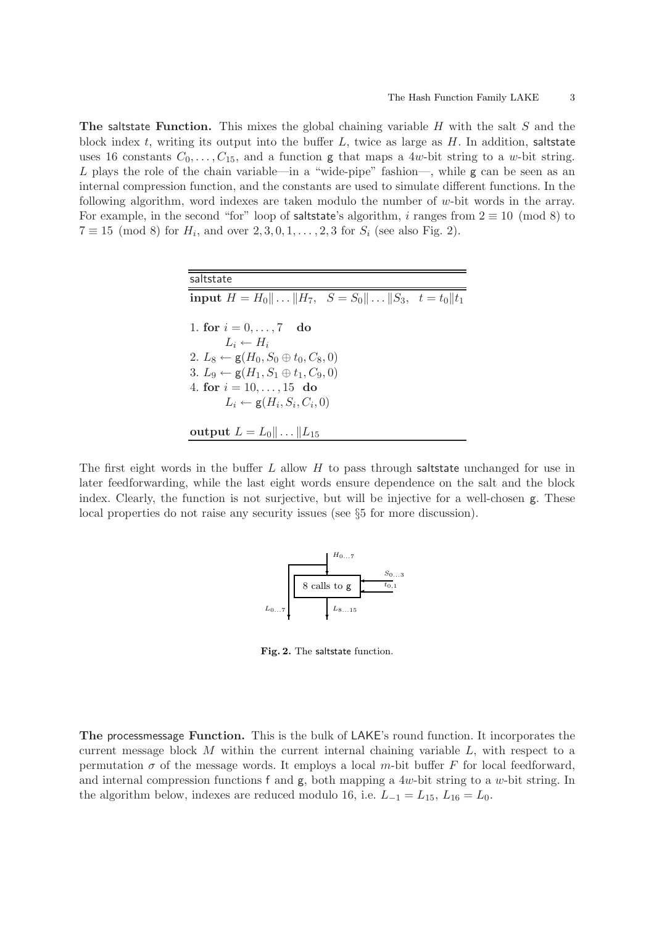The saltstate Function. This mixes the global chaining variable  $H$  with the salt  $S$  and the block index  $t$ , writing its output into the buffer  $L$ , twice as large as  $H$ . In addition, saltstate uses 16 constants  $C_0, \ldots, C_{15}$ , and a function g that maps a 4w-bit string to a w-bit string. L plays the role of the chain variable—in a "wide-pipe" fashion—, while g can be seen as an internal compression function, and the constants are used to simulate different functions. In the following algorithm, word indexes are taken modulo the number of  $w$ -bit words in the array. For example, in the second "for" loop of saltstate's algorithm, i ranges from  $2 \equiv 10 \pmod{8}$  to  $7 \equiv 15 \pmod{8}$  for  $H_i$ , and over  $2, 3, 0, 1, \ldots, 2, 3$  for  $S_i$  (see also Fig. 2).

| saltstate                                                                       |  |  |  |  |
|---------------------------------------------------------------------------------|--|--|--|--|
| <b>input</b> $H = H_0    \dots    H_7, S = S_0    \dots    S_3, t = t_0    t_1$ |  |  |  |  |
| 1. for $i = 0, , 7$ do                                                          |  |  |  |  |
| $L_i \leftarrow H_i$<br>2. $L_8 \leftarrow g(H_0, S_0 \oplus t_0, C_8, 0)$      |  |  |  |  |
| 3. $L_9 \leftarrow g(H_1, S_1 \oplus t_1, C_9, 0)$                              |  |  |  |  |
| 4. for $i = 10, , 15$ do                                                        |  |  |  |  |
| $L_i \leftarrow \mathbf{g}(H_i, S_i, C_i, 0)$                                   |  |  |  |  |
| <b>output</b> $L = L_0    \dots    L_{15}$                                      |  |  |  |  |

The first eight words in the buffer  $L$  allow  $H$  to pass through saltstate unchanged for use in later feedforwarding, while the last eight words ensure dependence on the salt and the block index. Clearly, the function is not surjective, but will be injective for a well-chosen g. These local properties do not raise any security issues (see §5 for more discussion).



Fig. 2. The saltstate function.

The processmessage Function. This is the bulk of LAKE's round function. It incorporates the current message block  $M$  within the current internal chaining variable  $L$ , with respect to a permutation  $\sigma$  of the message words. It employs a local m-bit buffer F for local feedforward, and internal compression functions f and  $g$ , both mapping a  $4w$ -bit string to a w-bit string. In the algorithm below, indexes are reduced modulo 16, i.e.  $L_{-1} = L_{15}$ ,  $L_{16} = L_0$ .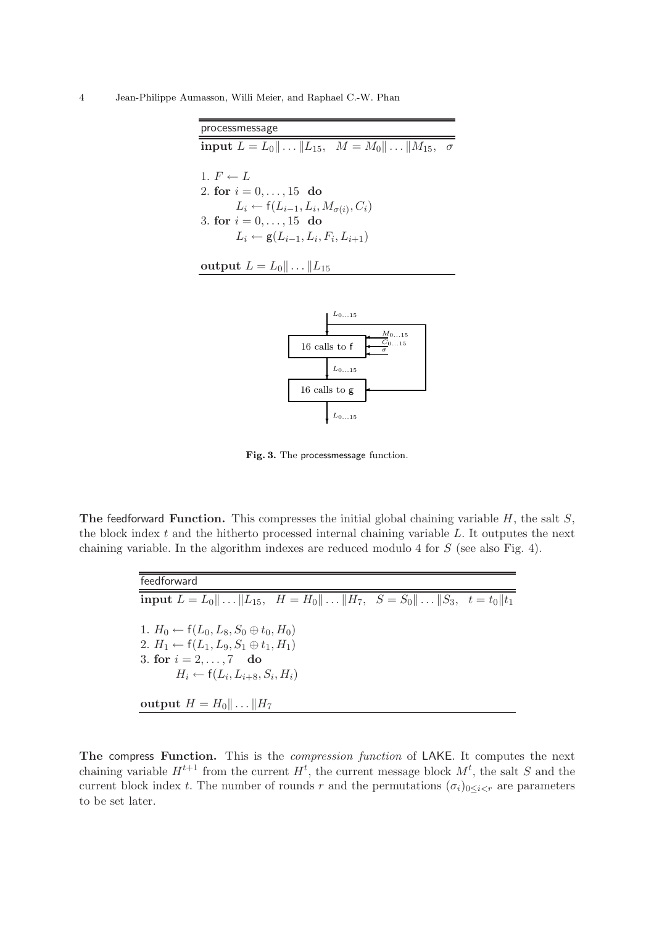| processmessage                                                                                        |  |  |  |  |  |
|-------------------------------------------------------------------------------------------------------|--|--|--|--|--|
| <b>input</b> $L = L_0    \dots    L_{15}, \quad M = M_0    \dots    M_{15}, \quad \sigma$             |  |  |  |  |  |
| $1 F \leftarrow L$<br>2. for $i = 0, , 15$ do<br>$L_i \leftarrow f(L_{i-1}, L_i, M_{\sigma(i)}, C_i)$ |  |  |  |  |  |
| 3. for $i = 0, , 15$ do<br>$L_i \leftarrow g(L_{i-1}, L_i, F_i, L_{i+1})$                             |  |  |  |  |  |
| output $L = L_0    \dots    L_{15}$                                                                   |  |  |  |  |  |



Fig. 3. The processmessage function.

The feedforward Function. This compresses the initial global chaining variable  $H$ , the salt  $S$ , the block index  $t$  and the hitherto processed internal chaining variable  $L$ . It outputes the next chaining variable. In the algorithm indexes are reduced modulo 4 for S (see also Fig. 4).

> feedforward input  $L = L_0 || \dots || L_{15}, H = H_0 || \dots || H_7, S = S_0 || \dots || S_3, t = t_0 || t_1$ 1.  $H_0 \leftarrow f(L_0, L_8, S_0 \oplus t_0, H_0)$ 2.  $H_1 \leftarrow f(L_1, L_9, S_1 \oplus t_1, H_1)$ 3. for  $i = 2, ..., 7$  do  $H_i \leftarrow f(L_i, L_{i+8}, S_i, H_i)$ output  $H = H_0 || \dots || H_7$

The compress Function. This is the *compression function* of LAKE. It computes the next chaining variable  $H^{t+1}$  from the current  $H^t$ , the current message block  $M^t$ , the salt S and the current block index t. The number of rounds r and the permutations  $(\sigma_i)_{0 \leq i \leq r}$  are parameters to be set later.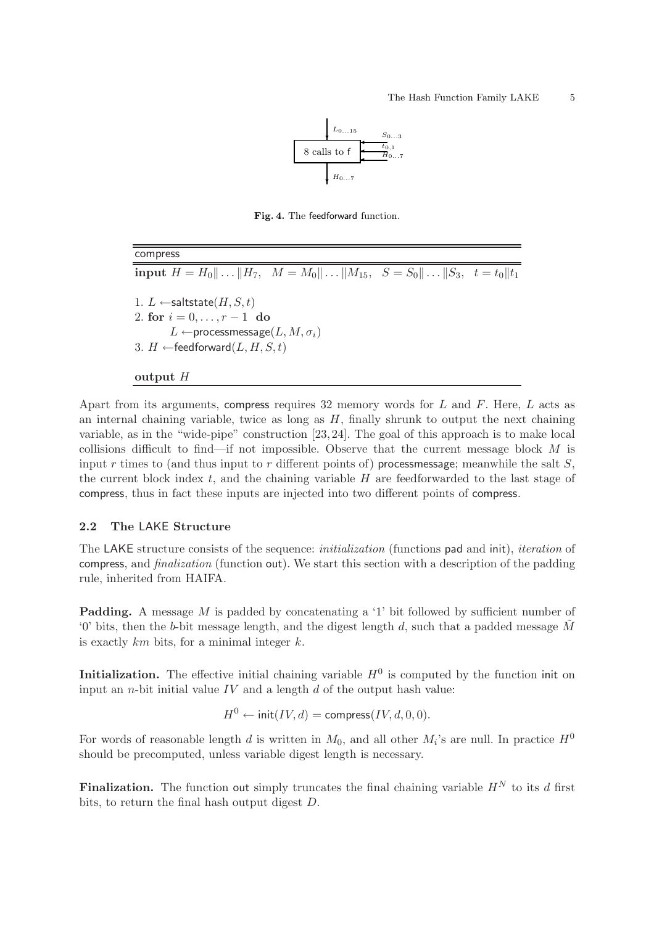

Fig. 4. The feedforward function.

compress input  $H = H_0 || \dots || H_7, \quad M = M_0 || \dots || M_{15}, \quad S = S_0 || \dots || S_3, \quad t = t_0 || t_1$ 1.  $L \leftarrow$ saltstate $(H, S, t)$ 2. for  $i = 0, ..., r - 1$  do  $L \leftarrow$ processmessage $(L, M, \sigma_i)$ 3.  $H \leftarrow$  feedforward $(L, H, S, t)$ 

#### output H

Apart from its arguments, compress requires 32 memory words for  $L$  and  $F$ . Here,  $L$  acts as an internal chaining variable, twice as long as  $H$ , finally shrunk to output the next chaining variable, as in the "wide-pipe" construction [23, 24]. The goal of this approach is to make local collisions difficult to find—if not impossible. Observe that the current message block  $M$  is input r times to (and thus input to r different points of) processmessage; meanwhile the salt  $S$ , the current block index  $t$ , and the chaining variable  $H$  are feedforwarded to the last stage of compress, thus in fact these inputs are injected into two different points of compress.

## 2.2 The LAKE Structure

The LAKE structure consists of the sequence: *initialization* (functions pad and init), *iteration* of compress, and finalization (function out). We start this section with a description of the padding rule, inherited from HAIFA.

Padding. A message M is padded by concatenating a '1' bit followed by sufficient number of '0' bits, then the b-bit message length, and the digest length d, such that a padded message M is exactly  $km$  bits, for a minimal integer  $k$ .

**Initialization.** The effective initial chaining variable  $H^0$  is computed by the function init on input an *n*-bit initial value  $IV$  and a length  $d$  of the output hash value:

$$
H^0 \leftarrow \text{init}(IV, d) = \text{compress}(IV, d, 0, 0).
$$

For words of reasonable length d is written in  $M_0$ , and all other  $M_i$ 's are null. In practice  $H^0$ should be precomputed, unless variable digest length is necessary.

**Finalization.** The function out simply truncates the final chaining variable  $H^N$  to its d first bits, to return the final hash output digest D.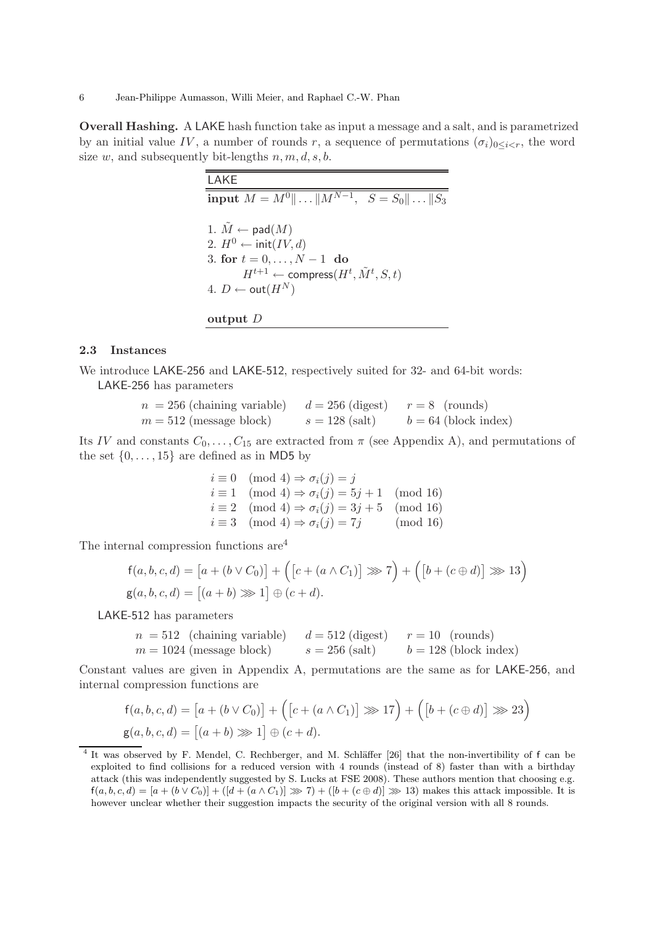output D

Overall Hashing. A LAKE hash function take as input a message and a salt, and is parametrized by an initial value IV, a number of rounds r, a sequence of permutations  $(\sigma_i)_{0\leq i\leq r}$ , the word size w, and subsequently bit-lengths  $n, m, d, s, b$ .

| I AKE                                                                                                                                                                                                    |
|----------------------------------------------------------------------------------------------------------------------------------------------------------------------------------------------------------|
| input $M = M^0    \dots    M^{N-1}, S = S_0    \dots    S_3$                                                                                                                                             |
| 1. $M \leftarrow \text{pad}(M)$<br>2. $H^0 \leftarrow \text{init}(IV, d)$<br>3. for $t = 0, , N - 1$ do<br>$H^{t+1} \leftarrow$ compress $(H^t, \tilde{M}^t, S, t)$<br>4. $D \leftarrow \text{out}(H^N)$ |

#### 2.3 Instances

We introduce LAKE-256 and LAKE-512, respectively suited for 32- and 64-bit words: LAKE-256 has parameters

> $n = 256$  (chaining variable)  $d = 256$  (digest)  $r = 8$  (rounds)  $m = 512$  (message block)  $s = 128$  (salt)  $b = 64$  (block index)

Its IV and constants  $C_0, \ldots, C_{15}$  are extracted from  $\pi$  (see Appendix A), and permutations of the set  $\{0, \ldots, 15\}$  are defined as in MD5 by

$$
i \equiv 0 \pmod{4} \Rightarrow \sigma_i(j) = j
$$
  
\n
$$
i \equiv 1 \pmod{4} \Rightarrow \sigma_i(j) = 5j + 1 \pmod{16}
$$
  
\n
$$
i \equiv 2 \pmod{4} \Rightarrow \sigma_i(j) = 3j + 5 \pmod{16}
$$
  
\n
$$
i \equiv 3 \pmod{4} \Rightarrow \sigma_i(j) = 7j \pmod{16}
$$

The internal compression functions are<sup>4</sup>

$$
f(a, b, c, d) = [a + (b \vee C_0)] + ([c + (a \wedge C_1)] \gg 7) + ([b + (c \oplus d)] \gg 13)
$$
  
g(a, b, c, d) = [(a + b) \gg 1]  $\oplus$  (c + d).

LAKE-512 has parameters

 $n = 512$  (chaining variable)  $d = 512$  (digest)  $r = 10$  (rounds)  $m = 1024$  (message block)  $s = 256$  (salt)  $b = 128$  (block index)

Constant values are given in Appendix A, permutations are the same as for LAKE-256, and internal compression functions are

$$
f(a, b, c, d) = [a + (b \vee C_0)] + ([c + (a \wedge C_1)] \gg 17) + ([b + (c \oplus d)] \gg 23)
$$
  

$$
g(a, b, c, d) = [(a + b) \gg 1] \oplus (c + d).
$$

<sup>&</sup>lt;sup>4</sup> It was observed by F. Mendel, C. Rechberger, and M. Schläffer [26] that the non-invertibility of f can be exploited to find collisions for a reduced version with 4 rounds (instead of 8) faster than with a birthday attack (this was independently suggested by S. Lucks at FSE 2008). These authors mention that choosing e.g.  $f(a, b, c, d) = [a + (b \vee C_0)] + ([d + (a \wedge C_1)] \gg 7) + ([b + (c \oplus d)] \gg 13)$  makes this attack impossible. It is however unclear whether their suggestion impacts the security of the original version with all 8 rounds.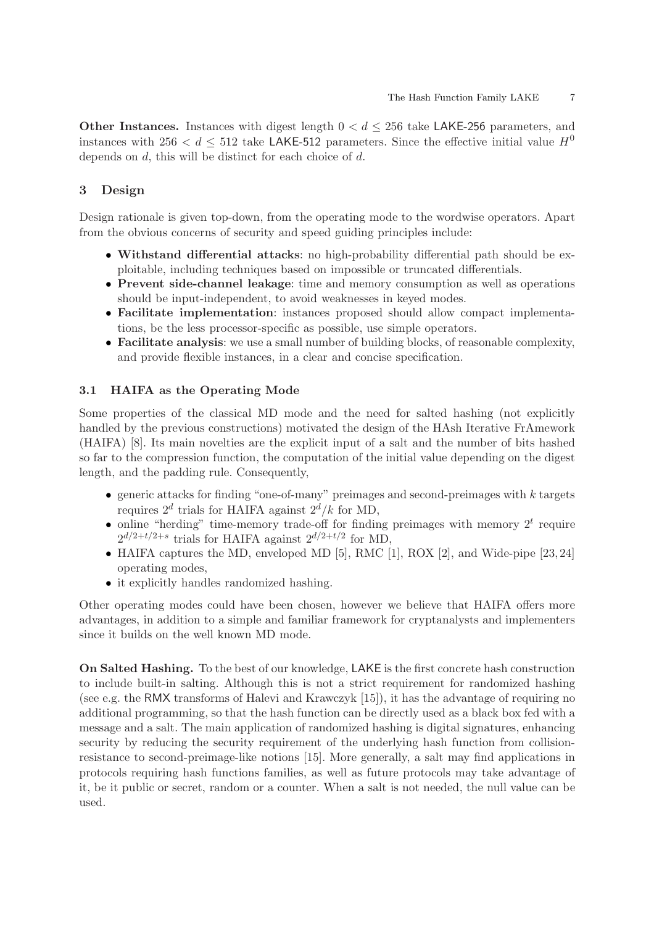Other Instances. Instances with digest length  $0 < d < 256$  take LAKE-256 parameters, and instances with 256  $\lt d \lt 512$  take LAKE-512 parameters. Since the effective initial value  $H^0$ depends on d, this will be distinct for each choice of d.

# 3 Design

Design rationale is given top-down, from the operating mode to the wordwise operators. Apart from the obvious concerns of security and speed guiding principles include:

- Withstand differential attacks: no high-probability differential path should be exploitable, including techniques based on impossible or truncated differentials.
- Prevent side-channel leakage: time and memory consumption as well as operations should be input-independent, to avoid weaknesses in keyed modes.
- Facilitate implementation: instances proposed should allow compact implementations, be the less processor-specific as possible, use simple operators.
- Facilitate analysis: we use a small number of building blocks, of reasonable complexity, and provide flexible instances, in a clear and concise specification.

# 3.1 HAIFA as the Operating Mode

Some properties of the classical MD mode and the need for salted hashing (not explicitly handled by the previous constructions) motivated the design of the HAsh Iterative FrAmework (HAIFA) [8]. Its main novelties are the explicit input of a salt and the number of bits hashed so far to the compression function, the computation of the initial value depending on the digest length, and the padding rule. Consequently,

- $\bullet$  generic attacks for finding "one-of-many" preimages and second-preimages with  $k$  targets requires  $2^d$  trials for HAIFA against  $2^d/k$  for MD,
- online "herding" time-memory trade-off for finding preimages with memory  $2<sup>t</sup>$  require  $2^{d/2+t/2+s}$  trials for HAIFA against  $2^{d/2+t/2}$  for MD,
- HAIFA captures the MD, enveloped MD [5], RMC [1], ROX [2], and Wide-pipe  $[23, 24]$ operating modes,
- it explicitly handles randomized hashing.

Other operating modes could have been chosen, however we believe that HAIFA offers more advantages, in addition to a simple and familiar framework for cryptanalysts and implementers since it builds on the well known MD mode.

On Salted Hashing. To the best of our knowledge, LAKE is the first concrete hash construction to include built-in salting. Although this is not a strict requirement for randomized hashing (see e.g. the RMX transforms of Halevi and Krawczyk [15]), it has the advantage of requiring no additional programming, so that the hash function can be directly used as a black box fed with a message and a salt. The main application of randomized hashing is digital signatures, enhancing security by reducing the security requirement of the underlying hash function from collisionresistance to second-preimage-like notions [15]. More generally, a salt may find applications in protocols requiring hash functions families, as well as future protocols may take advantage of it, be it public or secret, random or a counter. When a salt is not needed, the null value can be used.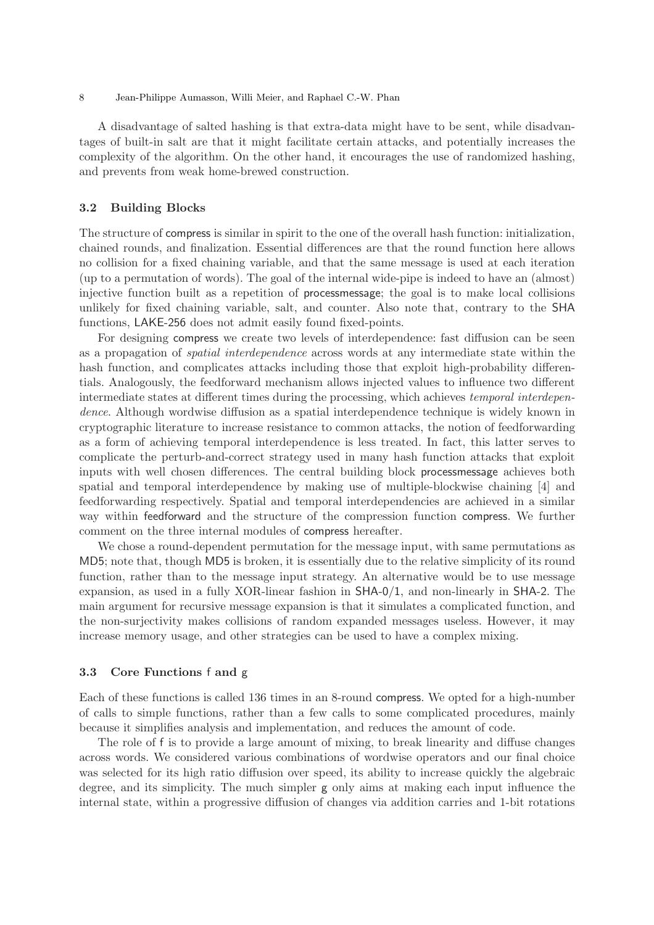A disadvantage of salted hashing is that extra-data might have to be sent, while disadvantages of built-in salt are that it might facilitate certain attacks, and potentially increases the complexity of the algorithm. On the other hand, it encourages the use of randomized hashing, and prevents from weak home-brewed construction.

#### 3.2 Building Blocks

The structure of compress is similar in spirit to the one of the overall hash function: initialization, chained rounds, and finalization. Essential differences are that the round function here allows no collision for a fixed chaining variable, and that the same message is used at each iteration (up to a permutation of words). The goal of the internal wide-pipe is indeed to have an (almost) injective function built as a repetition of processmessage; the goal is to make local collisions unlikely for fixed chaining variable, salt, and counter. Also note that, contrary to the SHA functions, LAKE-256 does not admit easily found fixed-points.

For designing compress we create two levels of interdependence: fast diffusion can be seen as a propagation of spatial interdependence across words at any intermediate state within the hash function, and complicates attacks including those that exploit high-probability differentials. Analogously, the feedforward mechanism allows injected values to influence two different intermediate states at different times during the processing, which achieves temporal interdependence. Although wordwise diffusion as a spatial interdependence technique is widely known in cryptographic literature to increase resistance to common attacks, the notion of feedforwarding as a form of achieving temporal interdependence is less treated. In fact, this latter serves to complicate the perturb-and-correct strategy used in many hash function attacks that exploit inputs with well chosen differences. The central building block processmessage achieves both spatial and temporal interdependence by making use of multiple-blockwise chaining [4] and feedforwarding respectively. Spatial and temporal interdependencies are achieved in a similar way within feedforward and the structure of the compression function compress. We further comment on the three internal modules of compress hereafter.

We chose a round-dependent permutation for the message input, with same permutations as MD5; note that, though MD5 is broken, it is essentially due to the relative simplicity of its round function, rather than to the message input strategy. An alternative would be to use message expansion, as used in a fully XOR-linear fashion in SHA-0/1, and non-linearly in SHA-2. The main argument for recursive message expansion is that it simulates a complicated function, and the non-surjectivity makes collisions of random expanded messages useless. However, it may increase memory usage, and other strategies can be used to have a complex mixing.

#### 3.3 Core Functions f and g

Each of these functions is called 136 times in an 8-round compress. We opted for a high-number of calls to simple functions, rather than a few calls to some complicated procedures, mainly because it simplifies analysis and implementation, and reduces the amount of code.

The role of f is to provide a large amount of mixing, to break linearity and diffuse changes across words. We considered various combinations of wordwise operators and our final choice was selected for its high ratio diffusion over speed, its ability to increase quickly the algebraic degree, and its simplicity. The much simpler g only aims at making each input influence the internal state, within a progressive diffusion of changes via addition carries and 1-bit rotations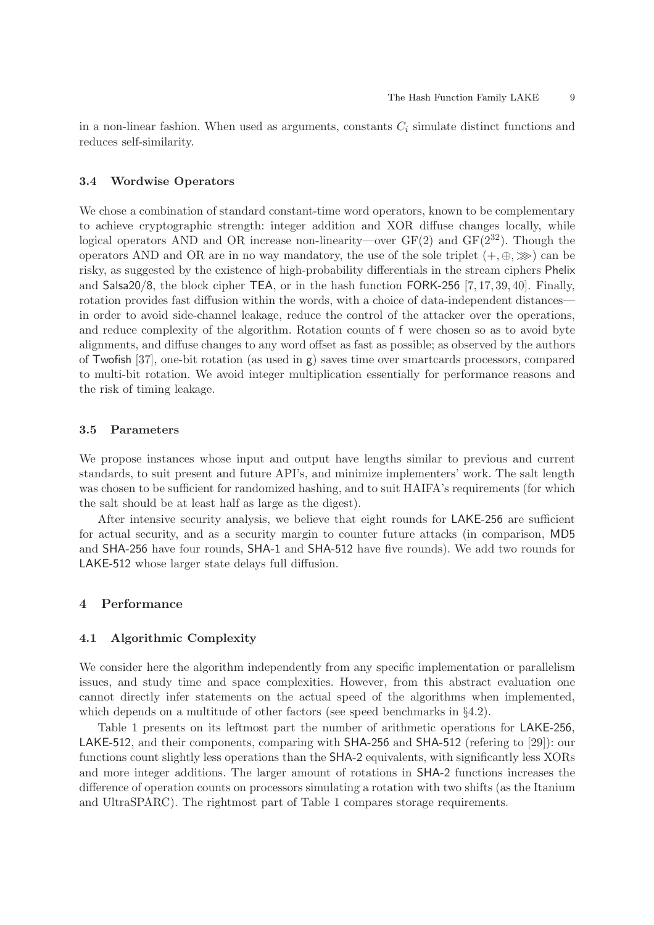in a non-linear fashion. When used as arguments, constants  $C_i$  simulate distinct functions and reduces self-similarity.

### 3.4 Wordwise Operators

We chose a combination of standard constant-time word operators, known to be complementary to achieve cryptographic strength: integer addition and XOR diffuse changes locally, while logical operators AND and OR increase non-linearity—over  $GF(2)$  and  $GF(2^{32})$ . Though the operators AND and OR are in no way mandatory, the use of the sole triplet  $(+, \oplus, \gg)$  can be risky, as suggested by the existence of high-probability differentials in the stream ciphers Phelix and Salsa20/8, the block cipher TEA, or in the hash function FORK-256 [7, 17, 39, 40]. Finally, rotation provides fast diffusion within the words, with a choice of data-independent distances in order to avoid side-channel leakage, reduce the control of the attacker over the operations, and reduce complexity of the algorithm. Rotation counts of f were chosen so as to avoid byte alignments, and diffuse changes to any word offset as fast as possible; as observed by the authors of Twofish [37], one-bit rotation (as used in  $g$ ) saves time over smartcards processors, compared to multi-bit rotation. We avoid integer multiplication essentially for performance reasons and the risk of timing leakage.

## 3.5 Parameters

We propose instances whose input and output have lengths similar to previous and current standards, to suit present and future API's, and minimize implementers' work. The salt length was chosen to be sufficient for randomized hashing, and to suit HAIFA's requirements (for which the salt should be at least half as large as the digest).

After intensive security analysis, we believe that eight rounds for LAKE-256 are sufficient for actual security, and as a security margin to counter future attacks (in comparison, MD5 and SHA-256 have four rounds, SHA-1 and SHA-512 have five rounds). We add two rounds for LAKE-512 whose larger state delays full diffusion.

## 4 Performance

### 4.1 Algorithmic Complexity

We consider here the algorithm independently from any specific implementation or parallelism issues, and study time and space complexities. However, from this abstract evaluation one cannot directly infer statements on the actual speed of the algorithms when implemented, which depends on a multitude of other factors (see speed benchmarks in  $\S 4.2$ ).

Table 1 presents on its leftmost part the number of arithmetic operations for LAKE-256, LAKE-512, and their components, comparing with SHA-256 and SHA-512 (refering to [29]): our functions count slightly less operations than the SHA-2 equivalents, with significantly less XORs and more integer additions. The larger amount of rotations in SHA-2 functions increases the difference of operation counts on processors simulating a rotation with two shifts (as the Itanium and UltraSPARC). The rightmost part of Table 1 compares storage requirements.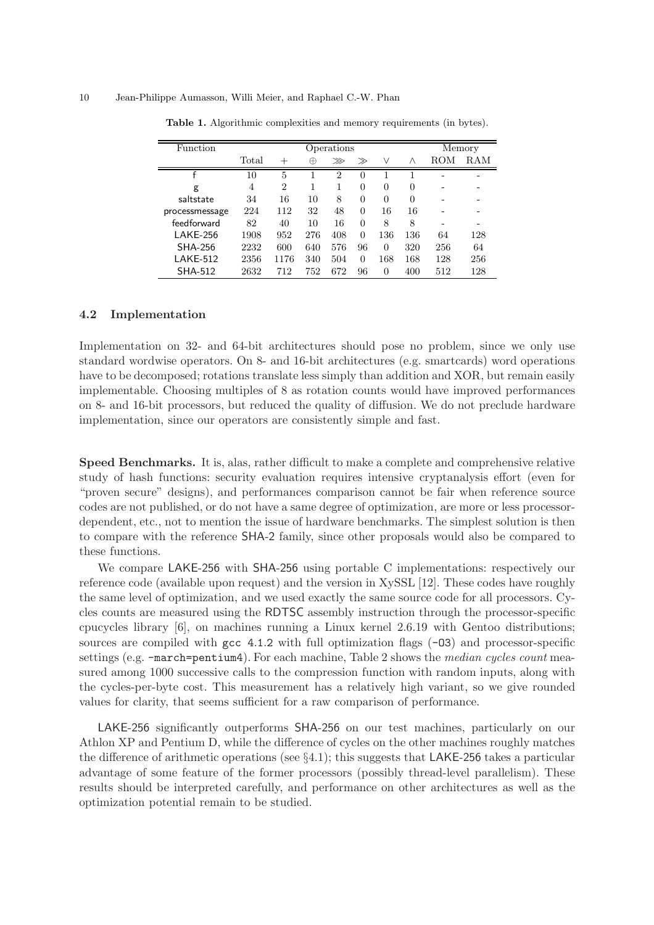| Function       | Operations |                |     |                |          | Memory   |          |     |     |
|----------------|------------|----------------|-----|----------------|----------|----------|----------|-----|-----|
|                | Total      | $^+$           | ⊕   | ⋙              | $\gg$    | V        | Λ        | ROM | RAM |
|                | 10         | 5              |     | $\overline{2}$ | 0        |          |          |     |     |
| g              | 4          | $\overline{2}$ | 1   |                | 0        | 0        | 0        |     |     |
| saltstate      | 34         | 16             | 10  | 8              | 0        | $\theta$ | $\Omega$ |     |     |
| processmessage | 224        | 112            | 32  | 48             | $\theta$ | 16       | 16       |     |     |
| feedforward    | 82         | 40             | 10  | 16             | $\theta$ | 8        | 8        |     |     |
| LAKE-256       | 1908       | 952            | 276 | 408            | $\Omega$ | 136      | 136      | 64  | 128 |
| <b>SHA-256</b> | 2232       | 600            | 640 | 576            | 96       | $\theta$ | 320      | 256 | 64  |
| LAKE-512       | 2356       | 1176           | 340 | 504            | $\Omega$ | 168      | 168      | 128 | 256 |
| <b>SHA-512</b> | 2632       | 712            | 752 | 672            | 96       | $\theta$ | 400      | 512 | 128 |

Table 1. Algorithmic complexities and memory requirements (in bytes).

#### 4.2 Implementation

Implementation on 32- and 64-bit architectures should pose no problem, since we only use standard wordwise operators. On 8- and 16-bit architectures (e.g. smartcards) word operations have to be decomposed; rotations translate less simply than addition and XOR, but remain easily implementable. Choosing multiples of 8 as rotation counts would have improved performances on 8- and 16-bit processors, but reduced the quality of diffusion. We do not preclude hardware implementation, since our operators are consistently simple and fast.

Speed Benchmarks. It is, alas, rather difficult to make a complete and comprehensive relative study of hash functions: security evaluation requires intensive cryptanalysis effort (even for "proven secure" designs), and performances comparison cannot be fair when reference source codes are not published, or do not have a same degree of optimization, are more or less processordependent, etc., not to mention the issue of hardware benchmarks. The simplest solution is then to compare with the reference SHA-2 family, since other proposals would also be compared to these functions.

We compare LAKE-256 with SHA-256 using portable C implementations: respectively our reference code (available upon request) and the version in XySSL [12]. These codes have roughly the same level of optimization, and we used exactly the same source code for all processors. Cycles counts are measured using the RDTSC assembly instruction through the processor-specific cpucycles library [6], on machines running a Linux kernel 2.6.19 with Gentoo distributions; sources are compiled with gcc  $4.1.2$  with full optimization flags  $(-0.3)$  and processor-specific settings (e.g. -march=pentium4). For each machine, Table 2 shows the median cycles count measured among 1000 successive calls to the compression function with random inputs, along with the cycles-per-byte cost. This measurement has a relatively high variant, so we give rounded values for clarity, that seems sufficient for a raw comparison of performance.

LAKE-256 significantly outperforms SHA-256 on our test machines, particularly on our Athlon XP and Pentium D, while the difference of cycles on the other machines roughly matches the difference of arithmetic operations (see §4.1); this suggests that LAKE-256 takes a particular advantage of some feature of the former processors (possibly thread-level parallelism). These results should be interpreted carefully, and performance on other architectures as well as the optimization potential remain to be studied.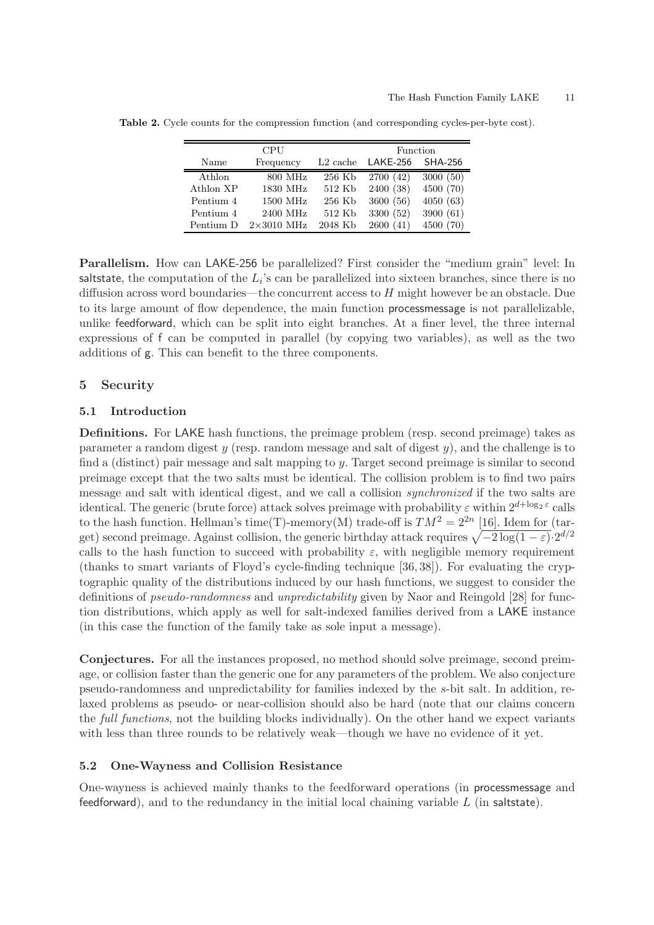|           | <b>CPU</b>        |            | Function        |                |
|-----------|-------------------|------------|-----------------|----------------|
| Name      | Frequency         | $L2$ cache | <b>LAKE-256</b> | <b>SHA-256</b> |
| Athlon    | 800 MHz           | $256$ Kb   | 2700 (42)       | 3000(50)       |
| Athlon XP | 1830 MHz          | 512 Kb     | 2400 (38)       | 4500 (70)      |
| Pentium 4 | 1500 MHz          | $256$ Kb   | 3600(56)        | 4050(63)       |
| Pentium 4 | 2400 MHz          | 512 Kb     | 3300 (52)       | 3900 (61)      |
| Pentium D | $2\times3010$ MHz | 2048 Kb    | 2600<br>(41)    | (70)<br>4500   |

Table 2. Cycle counts for the compression function (and corresponding cycles-per-byte cost).

Parallelism. How can LAKE-256 be parallelized? First consider the "medium grain" level: In saltstate, the computation of the  $L_i$ 's can be parallelized into sixteen branches, since there is no diffusion across word boundaries—the concurrent access to H might however be an obstacle. Due to its large amount of flow dependence, the main function processmessage is not parallelizable, unlike feedforward, which can be split into eight branches. At a finer level, the three internal expressions of f can be computed in parallel (by copying two variables), as well as the two additions of g. This can benefit to the three components.

## 5 Security

## 5.1 Introduction

Definitions. For LAKE hash functions, the preimage problem (resp. second preimage) takes as parameter a random digest  $y$  (resp. random message and salt of digest  $y$ ), and the challenge is to find a (distinct) pair message and salt mapping to y. Target second preimage is similar to second preimage except that the two salts must be identical. The collision problem is to find two pairs message and salt with identical digest, and we call a collision synchronized if the two salts are identical. The generic (brute force) attack solves preimage with probability  $\varepsilon$  within  $2^{d+\log_2\varepsilon}$  calls to the hash function. Hellman's time(T)-memory(M) trade-off is  $TM^2 = 2^{2n}$  [16]. Idem for (target) second preimage. Against collision, the generic birthday attack requires  $\sqrt{-2\log(1-\varepsilon)}\cdot 2^{d/2}$ calls to the hash function to succeed with probability  $\varepsilon$ , with negligible memory requirement (thanks to smart variants of Floyd's cycle-finding technique [36, 38]). For evaluating the cryptographic quality of the distributions induced by our hash functions, we suggest to consider the definitions of pseudo-randomness and unpredictability given by Naor and Reingold [28] for function distributions, which apply as well for salt-indexed families derived from a LAKE instance (in this case the function of the family take as sole input a message).

Conjectures. For all the instances proposed, no method should solve preimage, second preimage, or collision faster than the generic one for any parameters of the problem. We also conjecture pseudo-randomness and unpredictability for families indexed by the s-bit salt. In addition, relaxed problems as pseudo- or near-collision should also be hard (note that our claims concern the full functions, not the building blocks individually). On the other hand we expect variants with less than three rounds to be relatively weak—though we have no evidence of it yet.

### 5.2 One-Wayness and Collision Resistance

One-wayness is achieved mainly thanks to the feedforward operations (in processmessage and feedforward), and to the redundancy in the initial local chaining variable  $L$  (in saltstate).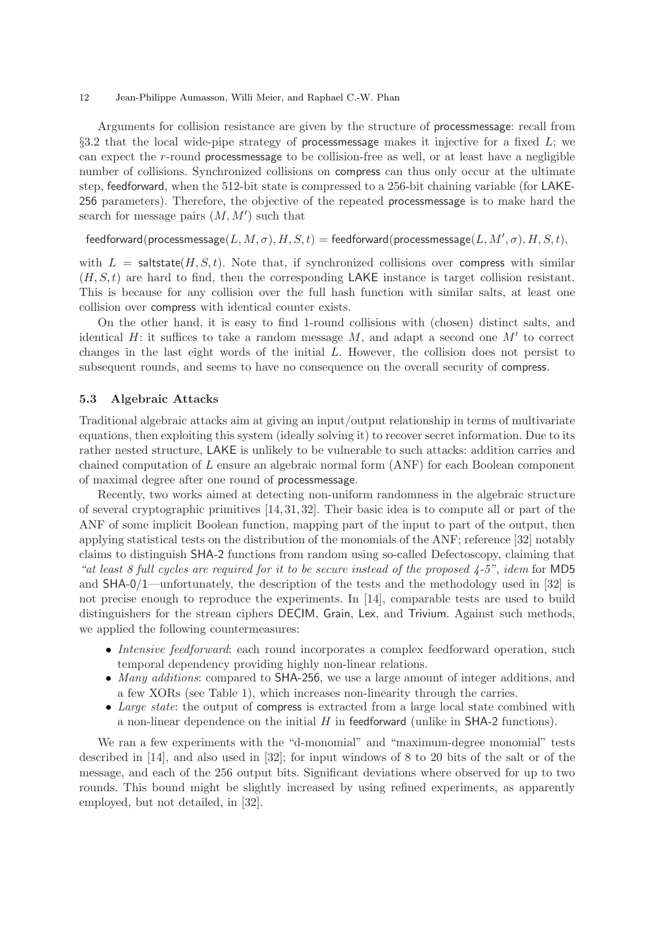Arguments for collision resistance are given by the structure of processmessage: recall from §3.2 that the local wide-pipe strategy of processmessage makes it injective for a fixed  $L$ ; we can expect the r-round processmessage to be collision-free as well, or at least have a negligible number of collisions. Synchronized collisions on compress can thus only occur at the ultimate step, feedforward, when the 512-bit state is compressed to a 256-bit chaining variable (for LAKE-256 parameters). Therefore, the objective of the repeated processmessage is to make hard the search for message pairs  $(M, M')$  such that

feedforward $(\mathsf{processmessage}(L, M, \sigma), H, S, t) = \mathsf{feedforward}(\mathsf{processmessage}(L, M', \sigma), H, S, t),$ 

with  $L =$  saltstate( $H, S, t$ ). Note that, if synchronized collisions over compress with similar  $(H, S, t)$  are hard to find, then the corresponding LAKE instance is target collision resistant. This is because for any collision over the full hash function with similar salts, at least one collision over compress with identical counter exists.

On the other hand, it is easy to find 1-round collisions with (chosen) distinct salts, and identical  $H$ : it suffices to take a random message  $M$ , and adapt a second one  $M'$  to correct changes in the last eight words of the initial  $L$ . However, the collision does not persist to subsequent rounds, and seems to have no consequence on the overall security of compress.

## 5.3 Algebraic Attacks

Traditional algebraic attacks aim at giving an input/output relationship in terms of multivariate equations, then exploiting this system (ideally solving it) to recover secret information. Due to its rather nested structure, LAKE is unlikely to be vulnerable to such attacks: addition carries and chained computation of L ensure an algebraic normal form (ANF) for each Boolean component of maximal degree after one round of processmessage.

Recently, two works aimed at detecting non-uniform randomness in the algebraic structure of several cryptographic primitives [14, 31, 32]. Their basic idea is to compute all or part of the ANF of some implicit Boolean function, mapping part of the input to part of the output, then applying statistical tests on the distribution of the monomials of the ANF; reference [32] notably claims to distinguish SHA-2 functions from random using so-called Defectoscopy, claiming that "at least 8 full cycles are required for it to be secure instead of the proposed  $4-5$ ", idem for MD5 and SHA-0/1—unfortunately, the description of the tests and the methodology used in [32] is not precise enough to reproduce the experiments. In [14], comparable tests are used to build distinguishers for the stream ciphers DECIM, Grain, Lex, and Trivium. Against such methods, we applied the following countermeasures:

- Intensive feedforward: each round incorporates a complex feedforward operation, such temporal dependency providing highly non-linear relations.
- Many additions: compared to SHA-256, we use a large amount of integer additions, and a few XORs (see Table 1), which increases non-linearity through the carries.
- Large state: the output of compress is extracted from a large local state combined with a non-linear dependence on the initial  $H$  in feedforward (unlike in SHA-2 functions).

We ran a few experiments with the "d-monomial" and "maximum-degree monomial" tests described in [14], and also used in [32]; for input windows of 8 to 20 bits of the salt or of the message, and each of the 256 output bits. Significant deviations where observed for up to two rounds. This bound might be slightly increased by using refined experiments, as apparently employed, but not detailed, in [32].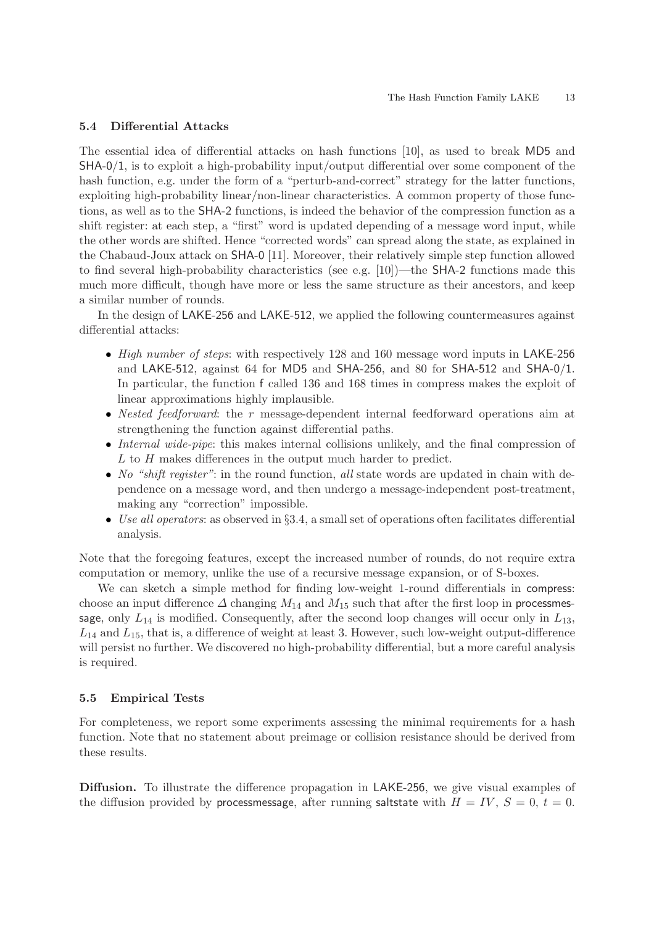## 5.4 Differential Attacks

The essential idea of differential attacks on hash functions [10], as used to break MD5 and SHA-0/1, is to exploit a high-probability input/output differential over some component of the hash function, e.g. under the form of a "perturb-and-correct" strategy for the latter functions, exploiting high-probability linear/non-linear characteristics. A common property of those functions, as well as to the SHA-2 functions, is indeed the behavior of the compression function as a shift register: at each step, a "first" word is updated depending of a message word input, while the other words are shifted. Hence "corrected words" can spread along the state, as explained in the Chabaud-Joux attack on SHA-0 [11]. Moreover, their relatively simple step function allowed to find several high-probability characteristics (see e.g. [10])—the SHA-2 functions made this much more difficult, though have more or less the same structure as their ancestors, and keep a similar number of rounds.

In the design of LAKE-256 and LAKE-512, we applied the following countermeasures against differential attacks:

- High number of steps: with respectively 128 and 160 message word inputs in LAKE-256 and LAKE-512, against 64 for MD5 and SHA-256, and 80 for SHA-512 and SHA-0/1. In particular, the function f called 136 and 168 times in compress makes the exploit of linear approximations highly implausible.
- *Nested feedforward*: the r message-dependent internal feedforward operations aim at strengthening the function against differential paths.
- Internal wide-pipe: this makes internal collisions unlikely, and the final compression of L to H makes differences in the output much harder to predict.
- No "shift register": in the round function, all state words are updated in chain with dependence on a message word, and then undergo a message-independent post-treatment, making any "correction" impossible.
- Use all operators: as observed in  $\S 3.4$ , a small set of operations often facilitates differential analysis.

Note that the foregoing features, except the increased number of rounds, do not require extra computation or memory, unlike the use of a recursive message expansion, or of S-boxes.

We can sketch a simple method for finding low-weight 1-round differentials in compress: choose an input difference  $\Delta$  changing  $M_{14}$  and  $M_{15}$  such that after the first loop in processmessage, only  $L_{14}$  is modified. Consequently, after the second loop changes will occur only in  $L_{13}$ ,  $L_{14}$  and  $L_{15}$ , that is, a difference of weight at least 3. However, such low-weight output-difference will persist no further. We discovered no high-probability differential, but a more careful analysis is required.

## 5.5 Empirical Tests

For completeness, we report some experiments assessing the minimal requirements for a hash function. Note that no statement about preimage or collision resistance should be derived from these results.

Diffusion. To illustrate the difference propagation in LAKE-256, we give visual examples of the diffusion provided by processmessage, after running saltstate with  $H = IV$ ,  $S = 0$ ,  $t = 0$ .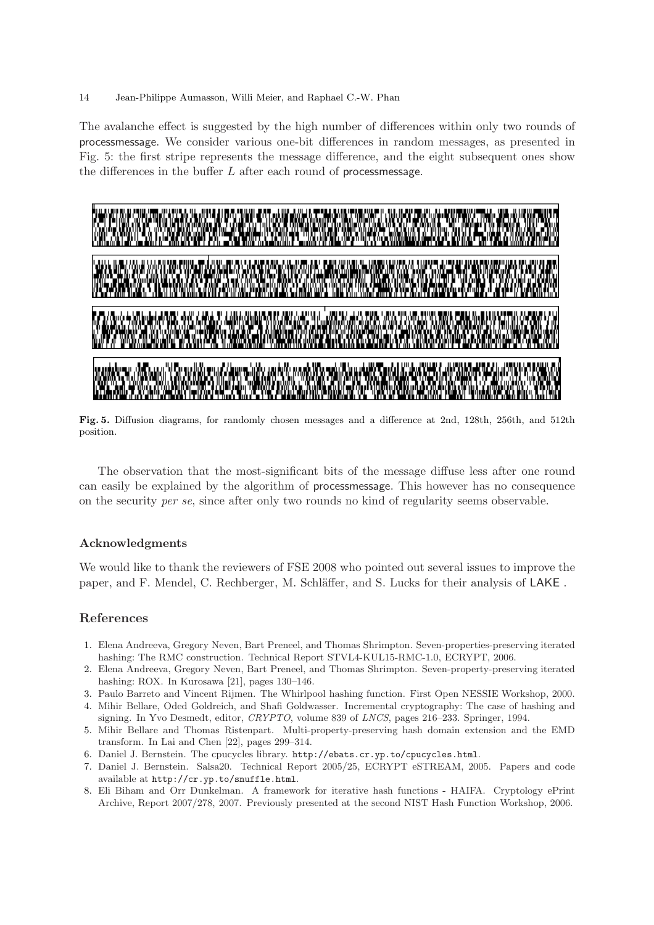The avalanche effect is suggested by the high number of differences within only two rounds of processmessage. We consider various one-bit differences in random messages, as presented in Fig. 5: the first stripe represents the message difference, and the eight subsequent ones show the differences in the buffer  $L$  after each round of processmessage.



Fig. 5. Diffusion diagrams, for randomly chosen messages and a difference at 2nd, 128th, 256th, and 512th position.

The observation that the most-significant bits of the message diffuse less after one round can easily be explained by the algorithm of processmessage. This however has no consequence on the security per se, since after only two rounds no kind of regularity seems observable.

# Acknowledgments

We would like to thank the reviewers of FSE 2008 who pointed out several issues to improve the paper, and F. Mendel, C. Rechberger, M. Schläffer, and S. Lucks for their analysis of LAKE.

# References

- 1. Elena Andreeva, Gregory Neven, Bart Preneel, and Thomas Shrimpton. Seven-properties-preserving iterated hashing: The RMC construction. Technical Report STVL4-KUL15-RMC-1.0, ECRYPT, 2006.
- 2. Elena Andreeva, Gregory Neven, Bart Preneel, and Thomas Shrimpton. Seven-property-preserving iterated hashing: ROX. In Kurosawa [21], pages 130–146.
- 3. Paulo Barreto and Vincent Rijmen. The Whirlpool hashing function. First Open NESSIE Workshop, 2000.
- 4. Mihir Bellare, Oded Goldreich, and Shafi Goldwasser. Incremental cryptography: The case of hashing and signing. In Yvo Desmedt, editor, CRYPTO, volume 839 of LNCS, pages 216–233. Springer, 1994.
- 5. Mihir Bellare and Thomas Ristenpart. Multi-property-preserving hash domain extension and the EMD transform. In Lai and Chen [22], pages 299–314.
- 6. Daniel J. Bernstein. The cpucycles library. http://ebats.cr.yp.to/cpucycles.html.
- 7. Daniel J. Bernstein. Salsa20. Technical Report 2005/25, ECRYPT eSTREAM, 2005. Papers and code available at http://cr.yp.to/snuffle.html.
- 8. Eli Biham and Orr Dunkelman. A framework for iterative hash functions HAIFA. Cryptology ePrint Archive, Report 2007/278, 2007. Previously presented at the second NIST Hash Function Workshop, 2006.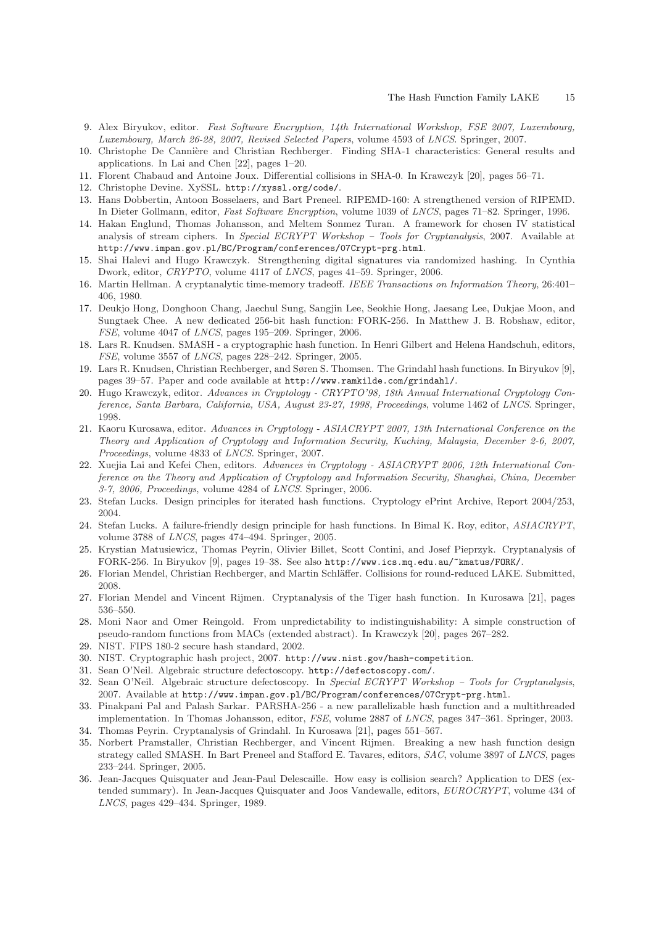- 9. Alex Biryukov, editor. Fast Software Encryption, 14th International Workshop, FSE 2007, Luxembourg, Luxembourg, March 26-28, 2007, Revised Selected Papers, volume 4593 of LNCS. Springer, 2007.
- 10. Christophe De Cannière and Christian Rechberger. Finding SHA-1 characteristics: General results and applications. In Lai and Chen [22], pages 1–20.
- 11. Florent Chabaud and Antoine Joux. Differential collisions in SHA-0. In Krawczyk [20], pages 56–71.
- 12. Christophe Devine. XySSL. http://xyssl.org/code/.
- 13. Hans Dobbertin, Antoon Bosselaers, and Bart Preneel. RIPEMD-160: A strengthened version of RIPEMD. In Dieter Gollmann, editor, Fast Software Encryption, volume 1039 of LNCS, pages 71–82. Springer, 1996.
- 14. Hakan Englund, Thomas Johansson, and Meltem Sonmez Turan. A framework for chosen IV statistical analysis of stream ciphers. In Special ECRYPT Workshop - Tools for Cryptanalysis, 2007. Available at http://www.impan.gov.pl/BC/Program/conferences/07Crypt-prg.html.
- 15. Shai Halevi and Hugo Krawczyk. Strengthening digital signatures via randomized hashing. In Cynthia Dwork, editor, CRYPTO, volume 4117 of LNCS, pages 41–59. Springer, 2006.
- 16. Martin Hellman. A cryptanalytic time-memory tradeoff. IEEE Transactions on Information Theory, 26:401– 406, 1980.
- 17. Deukjo Hong, Donghoon Chang, Jaechul Sung, Sangjin Lee, Seokhie Hong, Jaesang Lee, Dukjae Moon, and Sungtaek Chee. A new dedicated 256-bit hash function: FORK-256. In Matthew J. B. Robshaw, editor, FSE, volume 4047 of LNCS, pages 195–209. Springer, 2006.
- 18. Lars R. Knudsen. SMASH a cryptographic hash function. In Henri Gilbert and Helena Handschuh, editors, FSE, volume 3557 of LNCS, pages 228–242. Springer, 2005.
- 19. Lars R. Knudsen, Christian Rechberger, and Søren S. Thomsen. The Grindahl hash functions. In Biryukov [9], pages 39–57. Paper and code available at http://www.ramkilde.com/grindahl/.
- 20. Hugo Krawczyk, editor. Advances in Cryptology CRYPTO'98, 18th Annual International Cryptology Conference, Santa Barbara, California, USA, August 23-27, 1998, Proceedings, volume 1462 of LNCS. Springer, 1998.
- 21. Kaoru Kurosawa, editor. Advances in Cryptology ASIACRYPT 2007, 13th International Conference on the Theory and Application of Cryptology and Information Security, Kuching, Malaysia, December 2-6, 2007, Proceedings, volume 4833 of LNCS. Springer, 2007.
- 22. Xuejia Lai and Kefei Chen, editors. Advances in Cryptology ASIACRYPT 2006, 12th International Conference on the Theory and Application of Cryptology and Information Security, Shanghai, China, December 3-7, 2006, Proceedings, volume 4284 of LNCS. Springer, 2006.
- 23. Stefan Lucks. Design principles for iterated hash functions. Cryptology ePrint Archive, Report 2004/253, 2004.
- 24. Stefan Lucks. A failure-friendly design principle for hash functions. In Bimal K. Roy, editor, ASIACRYPT, volume 3788 of LNCS, pages 474–494. Springer, 2005.
- 25. Krystian Matusiewicz, Thomas Peyrin, Olivier Billet, Scott Contini, and Josef Pieprzyk. Cryptanalysis of FORK-256. In Biryukov [9], pages 19–38. See also http://www.ics.mq.edu.au/~kmatus/FORK/.
- 26. Florian Mendel, Christian Rechberger, and Martin Schläffer. Collisions for round-reduced LAKE. Submitted, 2008.
- 27. Florian Mendel and Vincent Rijmen. Cryptanalysis of the Tiger hash function. In Kurosawa [21], pages 536–550.
- 28. Moni Naor and Omer Reingold. From unpredictability to indistinguishability: A simple construction of pseudo-random functions from MACs (extended abstract). In Krawczyk [20], pages 267–282.
- 29. NIST. FIPS 180-2 secure hash standard, 2002.
- 30. NIST. Cryptographic hash project, 2007. http://www.nist.gov/hash-competition.
- 31. Sean O'Neil. Algebraic structure defectoscopy. http://defectoscopy.com/.
- 32. Sean O'Neil. Algebraic structure defectoscopy. In Special ECRYPT Workshop Tools for Cryptanalysis, 2007. Available at http://www.impan.gov.pl/BC/Program/conferences/07Crypt-prg.html.
- 33. Pinakpani Pal and Palash Sarkar. PARSHA-256 a new parallelizable hash function and a multithreaded implementation. In Thomas Johansson, editor, FSE, volume 2887 of LNCS, pages 347–361. Springer, 2003.
- 34. Thomas Peyrin. Cryptanalysis of Grindahl. In Kurosawa [21], pages 551–567.
- 35. Norbert Pramstaller, Christian Rechberger, and Vincent Rijmen. Breaking a new hash function design strategy called SMASH. In Bart Preneel and Stafford E. Tavares, editors, SAC, volume 3897 of LNCS, pages 233–244. Springer, 2005.
- 36. Jean-Jacques Quisquater and Jean-Paul Delescaille. How easy is collision search? Application to DES (extended summary). In Jean-Jacques Quisquater and Joos Vandewalle, editors, EUROCRYPT, volume 434 of LNCS, pages 429–434. Springer, 1989.